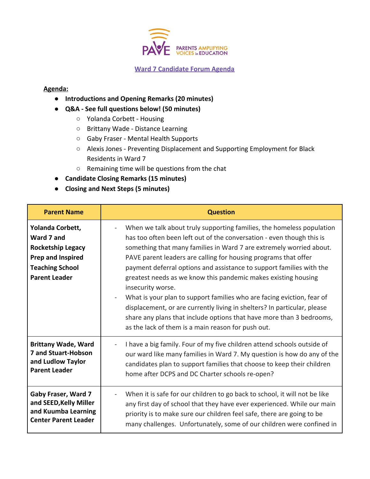

## **Ward 7 Candidate Forum Agenda**

## **Agenda:**

- **Introductions and Opening Remarks (20 minutes)**
- **Q&A See full questions below! (50 minutes)**
	- Yolanda Corbett Housing
	- Brittany Wade Distance Learning
	- Gaby Fraser Mental Health Supports
	- Alexis Jones Preventing Displacement and Supporting Employment for Black Residents in Ward 7
	- Remaining time will be questions from the chat
- **Candidate Closing Remarks (15 minutes)**
- **● Closing and Next Steps (5 minutes)**

| <b>Parent Name</b>                                                                                                                       | <b>Question</b>                                                                                                                                                                                                                                                                                                                                                                                                                                                                                                                                                                                                                                                                                                                             |
|------------------------------------------------------------------------------------------------------------------------------------------|---------------------------------------------------------------------------------------------------------------------------------------------------------------------------------------------------------------------------------------------------------------------------------------------------------------------------------------------------------------------------------------------------------------------------------------------------------------------------------------------------------------------------------------------------------------------------------------------------------------------------------------------------------------------------------------------------------------------------------------------|
| Yolanda Corbett,<br>Ward 7 and<br><b>Rocketship Legacy</b><br><b>Prep and Inspired</b><br><b>Teaching School</b><br><b>Parent Leader</b> | When we talk about truly supporting families, the homeless population<br>has too often been left out of the conversation - even though this is<br>something that many families in Ward 7 are extremely worried about.<br>PAVE parent leaders are calling for housing programs that offer<br>payment deferral options and assistance to support families with the<br>greatest needs as we know this pandemic makes existing housing<br>insecurity worse.<br>What is your plan to support families who are facing eviction, fear of<br>displacement, or are currently living in shelters? In particular, please<br>share any plans that include options that have more than 3 bedrooms,<br>as the lack of them is a main reason for push out. |
| <b>Brittany Wade, Ward</b>                                                                                                               | I have a big family. Four of my five children attend schools outside of                                                                                                                                                                                                                                                                                                                                                                                                                                                                                                                                                                                                                                                                     |
| <b>7 and Stuart-Hobson</b>                                                                                                               | our ward like many families in Ward 7. My question is how do any of the                                                                                                                                                                                                                                                                                                                                                                                                                                                                                                                                                                                                                                                                     |
| and Ludlow Taylor                                                                                                                        | candidates plan to support families that choose to keep their children                                                                                                                                                                                                                                                                                                                                                                                                                                                                                                                                                                                                                                                                      |
| <b>Parent Leader</b>                                                                                                                     | home after DCPS and DC Charter schools re-open?                                                                                                                                                                                                                                                                                                                                                                                                                                                                                                                                                                                                                                                                                             |
| <b>Gaby Fraser, Ward 7</b>                                                                                                               | When it is safe for our children to go back to school, it will not be like                                                                                                                                                                                                                                                                                                                                                                                                                                                                                                                                                                                                                                                                  |
| and SEED, Kelly Miller                                                                                                                   | any first day of school that they have ever experienced. While our main                                                                                                                                                                                                                                                                                                                                                                                                                                                                                                                                                                                                                                                                     |
| and Kuumba Learning                                                                                                                      | priority is to make sure our children feel safe, there are going to be                                                                                                                                                                                                                                                                                                                                                                                                                                                                                                                                                                                                                                                                      |
| <b>Center Parent Leader</b>                                                                                                              | many challenges. Unfortunately, some of our children were confined in                                                                                                                                                                                                                                                                                                                                                                                                                                                                                                                                                                                                                                                                       |